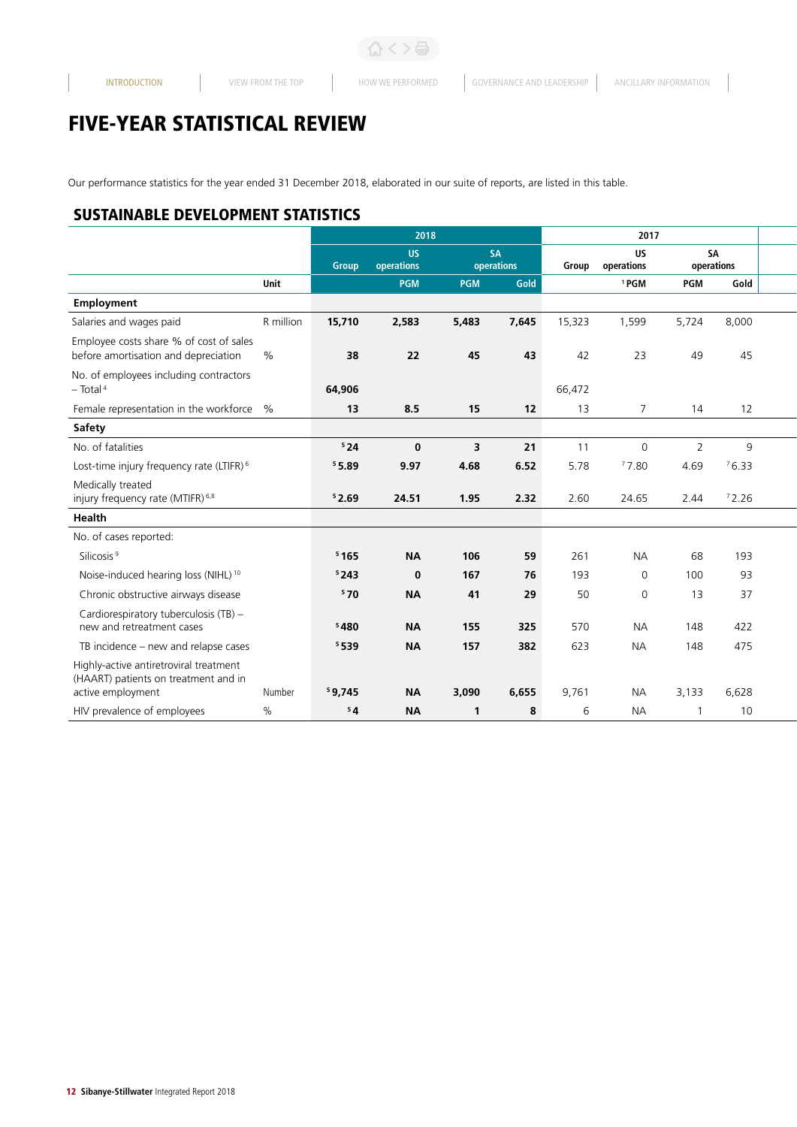# FIVE-YEAR STATISTICAL REVIEW

Our performance statistics for the year ended 31 December 2018, elaborated in our suite of reports, are listed in this table.

### SUSTAINABLE DEVELOPMENT STATISTICS

|                                                                                                               | 2018   |                         |                         |                         | 2017   |                         |                  |              |  |
|---------------------------------------------------------------------------------------------------------------|--------|-------------------------|-------------------------|-------------------------|--------|-------------------------|------------------|--------------|--|
|                                                                                                               |        | US.<br>Group operations |                         | <b>SA</b><br>operations | Group  | <b>US</b><br>operations | SA<br>operations |              |  |
| Unit                                                                                                          |        | PGM                     | <b>PGM</b>              | Gold                    |        | <sup>1</sup> PGM        | PGM              | Gold         |  |
| Employment                                                                                                    |        |                         |                         |                         |        |                         |                  |              |  |
| Salaries and wages paid<br>R million                                                                          | 15,710 | 2,583                   | 5,483                   | 7,645                   | 15,323 | 1,599                   | 5,724            | 8,000        |  |
| Employee costs share % of cost of sales<br>before amortisation and depreciation<br>$\%$                       | 38     | 22                      | 45                      | 43                      | 42     | 23                      | 49               | 45           |  |
| No. of employees including contractors<br>$-$ Total <sup>4</sup>                                              | 64,906 |                         |                         |                         | 66,472 |                         |                  |              |  |
| Female representation in the workforce %                                                                      | 13     | 8.5                     | 15                      | 12                      | 13     | $\overline{7}$          | 14               | 12           |  |
| <b>Safety</b>                                                                                                 |        |                         |                         |                         |        |                         |                  |              |  |
| No. of fatalities                                                                                             | 524    | $\mathbf{0}$            | $\overline{\mathbf{3}}$ | 21                      | 11     | $\overline{0}$          |                  | $\mathsf{q}$ |  |
| Lost-time injury frequency rate (LTIFR) <sup>6</sup>                                                          | 55.89  | 9.97                    | 4.68                    | 6.52                    | 5.78   | 77.80                   | 4.69             | 76.33        |  |
| Medically treated<br>injury frequency rate (MTIFR) <sup>6,8</sup>                                             | 52.69  | 24.51                   | 1.95                    | 2.32                    | 2.60   | 24.65                   | 2.44             | 72.26        |  |
| Health                                                                                                        |        |                         |                         |                         |        |                         |                  |              |  |
| No. of cases reported:                                                                                        |        |                         |                         |                         |        |                         |                  |              |  |
| Silicosis <sup>9</sup>                                                                                        | 5165   | <b>NA</b>               | 106                     | 59                      | 261    | <b>NA</b>               | 68               | 193          |  |
| Noise-induced hearing loss (NIHL) <sup>10</sup>                                                               | 5243   | $\mathbf 0$             | 167                     | 76                      | 193    | $\Omega$                | 100              | 93           |  |
| Chronic obstructive airways disease                                                                           | 570    | <b>NA</b>               | 41                      | 29                      | 50     | $\Omega$                | 13               | 37           |  |
| Cardiorespiratory tuberculosis (TB) -<br>new and retreatment cases                                            | 5480   | <b>NA</b>               | 155                     | 325                     | 570    | <b>NA</b>               | 148              | 422          |  |
| TB incidence - new and relapse cases                                                                          | 5539   | <b>NA</b>               | 157                     | 382                     | 623    | <b>NA</b>               | 148              | 475          |  |
| Highly-active antiretroviral treatment<br>(HAART) patients on treatment and in<br>Number<br>active employment | 59,745 | <b>NA</b>               | 3,090                   | 6,655                   | 9,761  | <b>NA</b>               | 3,133            | 6,628        |  |
| $\%$<br>HIV prevalence of employees                                                                           | 54     | <b>NA</b>               |                         | 8                       | -6     | <b>NA</b>               |                  | 10           |  |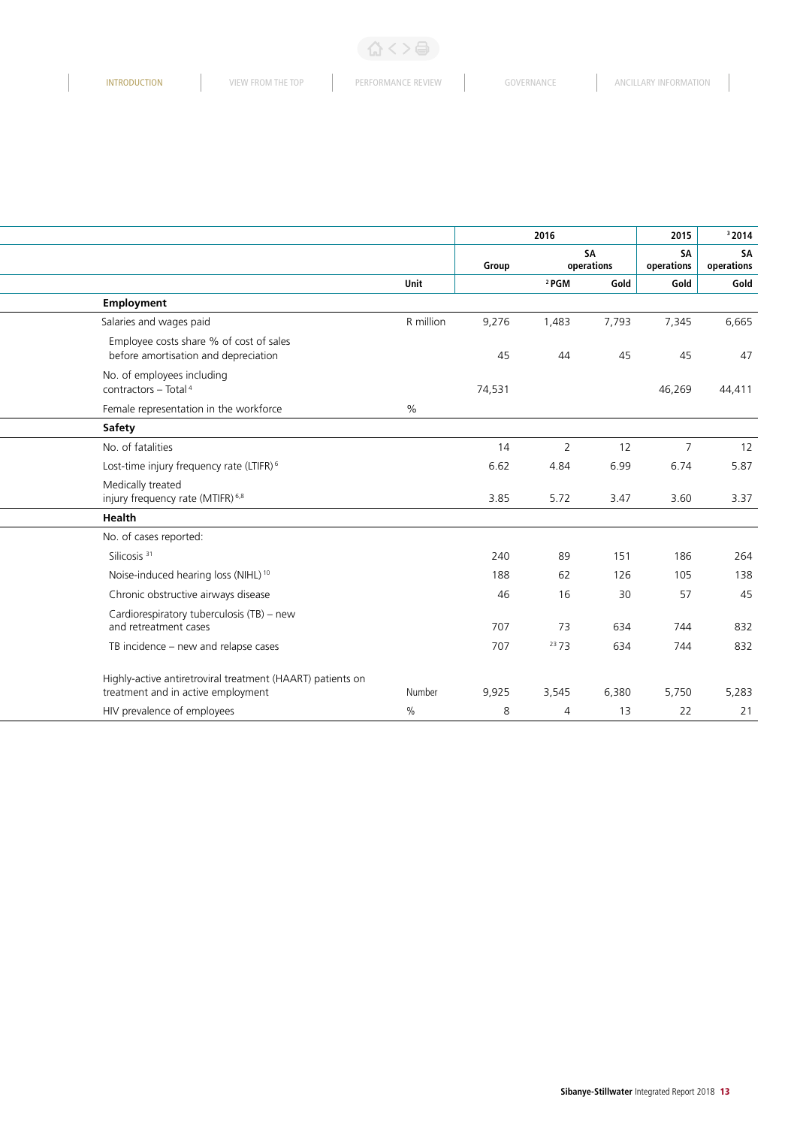### (公く>骨)

 $\begin{array}{c} \hline \end{array}$ 

|                                                                                                            |        | 2016             |                         | 2015                    | 32014                   |  |
|------------------------------------------------------------------------------------------------------------|--------|------------------|-------------------------|-------------------------|-------------------------|--|
|                                                                                                            | Group  |                  | <b>SA</b><br>operations | <b>SA</b><br>operations | <b>SA</b><br>operations |  |
| Unit                                                                                                       |        | <sup>2</sup> PGM | Gold                    | Gold                    | Gold                    |  |
| Employment                                                                                                 |        |                  |                         |                         |                         |  |
| Salaries and wages paid<br>R million                                                                       | 9,276  | 1,483            | 7,793                   | 7,345                   | 6,665                   |  |
| Employee costs share % of cost of sales<br>before amortisation and depreciation                            | 45     |                  |                         | 45                      | $\mathcal{A}$           |  |
| No. of employees including<br>contractors - Total <sup>4</sup>                                             | 74,531 |                  |                         | 46,269                  | 44,411                  |  |
| Female representation in the workforce<br>%                                                                |        |                  |                         |                         |                         |  |
| <b>Safety</b>                                                                                              |        |                  |                         |                         |                         |  |
| No. of fatalities                                                                                          | 14     | $\overline{2}$   | 12                      | $\overline{7}$          | 12                      |  |
| Lost-time injury frequency rate (LTIFR) <sup>6</sup>                                                       | 6.62   | 4.84             | 6.99                    | 6.74                    | 5.87                    |  |
| Medically treated<br>injury frequency rate (MTIFR) <sup>6,8</sup>                                          | 3.85   | 5.72             | 3.47                    | 3.60                    | 3.37                    |  |
| Health                                                                                                     |        |                  |                         |                         |                         |  |
| No. of cases reported:                                                                                     |        |                  |                         |                         |                         |  |
| Silicosis <sup>31</sup>                                                                                    | 240    | 89               | 151                     | 186                     | 264                     |  |
| Noise-induced hearing loss (NIHL) <sup>10</sup>                                                            | 188    | 62               | 126                     | 105                     | 138                     |  |
| Chronic obstructive airways disease                                                                        | 46     | 16               | 30                      | 57                      |                         |  |
| Cardiorespiratory tuberculosis (TB) - new<br>and retreatment cases                                         | 707    | 73               | 634                     | 744                     | 832                     |  |
| TB incidence - new and relapse cases                                                                       | 707    | 2373             | 634                     | 744                     | 832                     |  |
| Highly-active antiretroviral treatment (HAART) patients on<br>treatment and in active employment<br>Number | 9,925  | 3,545            | 6,380                   | 5,750                   | 5,283                   |  |
| $\frac{0}{0}$<br>HIV prevalence of employees                                                               | 8      |                  | 13                      | 22                      |                         |  |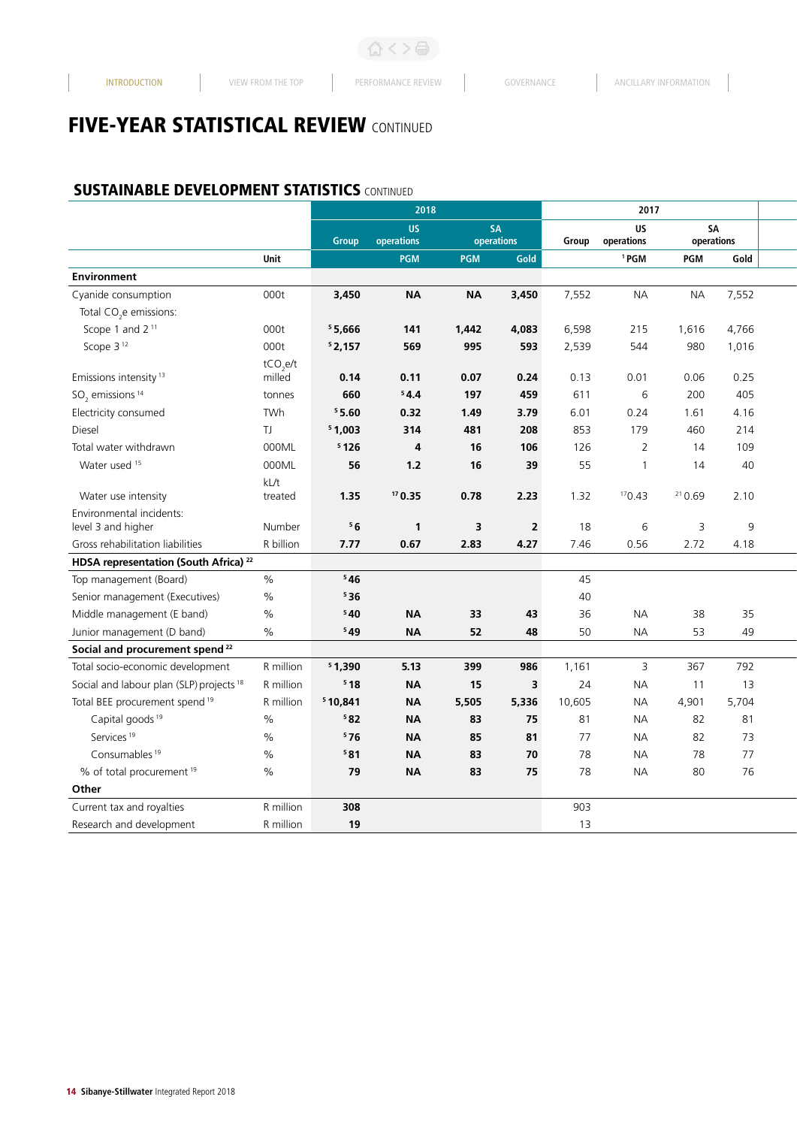# **FIVE-YEAR STATISTICAL REVIEW CONTINUED**

#### **SUSTAINABLE DEVELOPMENT STATISTICS CONTINUED**

|                                                     |                      |         | 2018                    |                         |                         |        | 2017             |                  |       |  |
|-----------------------------------------------------|----------------------|---------|-------------------------|-------------------------|-------------------------|--------|------------------|------------------|-------|--|
|                                                     |                      |         | US.<br>Group operations |                         | <b>SA</b><br>operations | Group  | US<br>operations | SA<br>operations |       |  |
|                                                     | Unit                 |         | <b>PGM</b>              | PGM                     | Gold                    |        | <sup>1</sup> PGM | PGM              | Gold  |  |
| <b>Environment</b>                                  |                      |         |                         |                         |                         |        |                  |                  |       |  |
| Cyanide consumption                                 | 000t                 | 3,450   | <b>NA</b>               | <b>NA</b>               | 3,450                   | 7,552  | <b>NA</b>        | <b>NA</b>        | 7,552 |  |
| Total CO <sub>2</sub> e emissions:                  |                      |         |                         |                         |                         |        |                  |                  |       |  |
| Scope 1 and 2 <sup>11</sup>                         | 000t                 | 55,666  | 141                     | 1,442                   | 4,083                   | 6,598  | 215              | 1,616            | 4,766 |  |
| Scope 3 <sup>12</sup>                               | 000t                 | 52,157  | 569                     | 995                     | 593                     | 2,539  | 544              | 980              | 1,016 |  |
|                                                     | tCO <sub>s</sub> e/t |         |                         |                         |                         |        |                  |                  |       |  |
| Emissions intensity <sup>13</sup>                   | milled               | 0.14    | 0.11                    | 0.07                    | 0.24                    | 0.13   | 0.01             | 0.06             | 0.25  |  |
| $SO2$ emissions <sup>14</sup>                       | tonnes               | 660     | 54.4                    | 197                     | 459                     | 611    | 6                | 200              | 405   |  |
| Electricity consumed                                | TWh                  | 55.60   | 0.32                    | 1.49                    | 3.79                    | 6.01   | 0.24             | 1.61             | 4.16  |  |
| Diesel                                              | TJ                   | 51,003  | 314                     | 481                     | 208                     | 853    | 179              | 460              | 214   |  |
| Total water withdrawn                               | 000ML                | 5126    | $\overline{4}$          | 16                      | 106                     | 126    | 2                | 14               | 109   |  |
| Water used 15                                       | 000ML                | 56      | 1.2                     | 16                      | 39                      | 55     |                  | 14               | 40    |  |
|                                                     | kL/t                 |         |                         |                         |                         |        |                  |                  |       |  |
| Water use intensity                                 | treated              | 1.35    | 170.35                  | 0.78                    | 2.23                    | 1.32   | 170.43           | 210.69           | 2.10  |  |
| Environmental incidents:                            |                      |         |                         |                         |                         |        |                  |                  |       |  |
| level 3 and higher                                  | Number               | 56      | $\overline{\mathbf{1}}$ | $\overline{\mathbf{3}}$ | $\overline{2}$          | 18     | 6                | 3                | 9     |  |
| Gross rehabilitation liabilities                    | R billion            | 7.77    | 0.67                    | 2.83                    | 4.27                    | 7.46   | 0.56             | 2.72             | 4.18  |  |
| HDSA representation (South Africa) <sup>22</sup>    |                      |         |                         |                         |                         |        |                  |                  |       |  |
| Top management (Board)                              | %                    | 546     |                         |                         |                         | 45     |                  |                  |       |  |
| Senior management (Executives)                      | $\%$                 | 536     |                         |                         |                         | 40     |                  |                  |       |  |
| Middle management (E band)                          | $\%$                 | 540     | <b>NA</b>               | 33                      | 43                      | 36     | <b>NA</b>        | 38               | 35    |  |
| Junior management (D band)                          | $\%$                 | 549     | <b>NA</b>               | 52                      | 48                      | 50     | <b>NA</b>        | 53               | 49    |  |
| Social and procurement spend <sup>22</sup>          |                      |         |                         |                         |                         |        |                  |                  |       |  |
| Total socio-economic development                    | R million            | 51,390  | 5.13                    | 399                     | 986                     | 1,161  | $\overline{3}$   | 367              | 792   |  |
| Social and labour plan (SLP) projects <sup>18</sup> | R million            | 518     | <b>NA</b>               | 15                      | $\overline{\mathbf{3}}$ | 24     | <b>NA</b>        | 11               | 13    |  |
| Total BEE procurement spend <sup>19</sup>           | R million            | 510,841 | <b>NA</b>               | 5,505                   | 5,336                   | 10,605 | <b>NA</b>        | 4,901            | 5,704 |  |
| Capital goods <sup>19</sup>                         | $\%$                 | 582     | <b>NA</b>               | 83                      | 75                      | 81     | <b>NA</b>        | 82               | 81    |  |
| Services <sup>19</sup>                              | $\%$                 | 576     | <b>NA</b>               | 85                      | 81                      | 77     | <b>NA</b>        | 82               | 73    |  |
| Consumables <sup>19</sup>                           | $\%$                 | 581     | <b>NA</b>               | 83                      | 70                      | 78     | <b>NA</b>        | 78               | 77    |  |
| % of total procurement <sup>19</sup>                | $\%$                 | 79      | <b>NA</b>               | 83                      | 75                      | 78     | <b>NA</b>        | 80               | 76    |  |
| Other                                               |                      |         |                         |                         |                         |        |                  |                  |       |  |
| Current tax and royalties                           | R million            | 308     |                         |                         |                         | 903    |                  |                  |       |  |
| Research and development                            | R million            | 19      |                         |                         |                         | 13     |                  |                  |       |  |
|                                                     |                      |         |                         |                         |                         |        |                  |                  |       |  |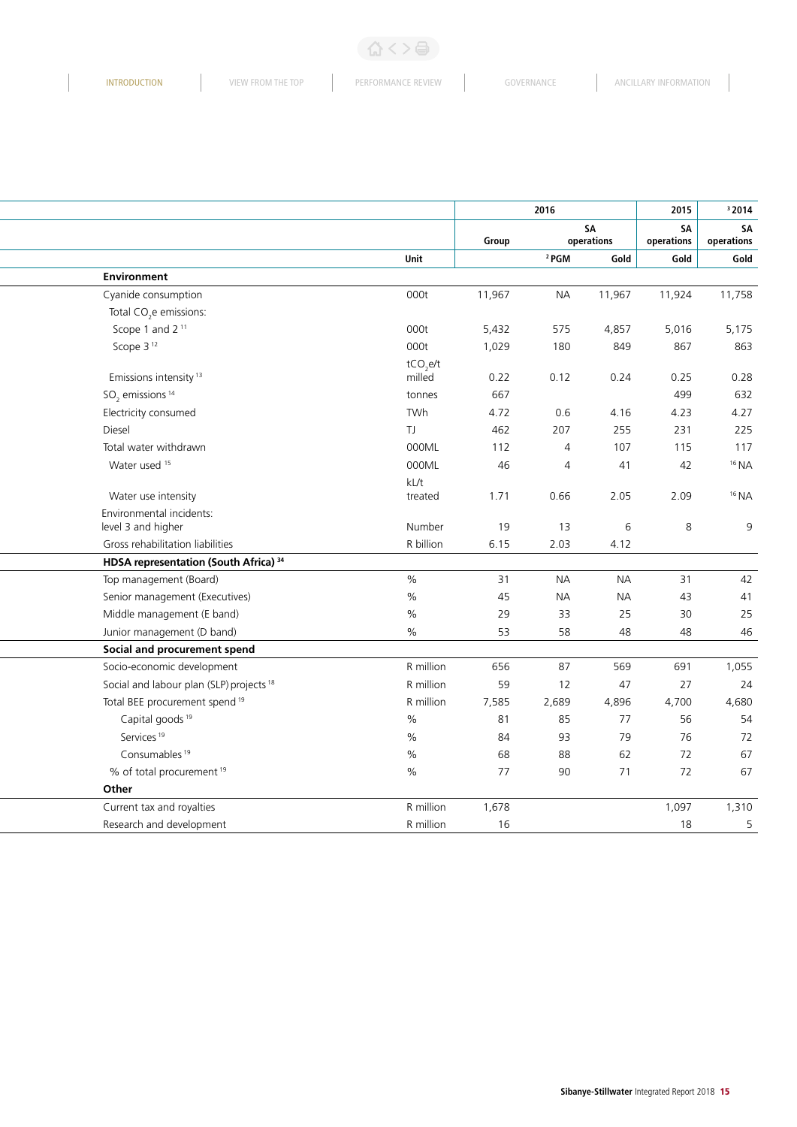$\begin{array}{c} \hline \end{array}$ 

|                                                     |                      |        | 2016             |            | 2015       | 32014              |
|-----------------------------------------------------|----------------------|--------|------------------|------------|------------|--------------------|
|                                                     |                      |        |                  | SA         | SA         | SA                 |
|                                                     |                      | Group  |                  | operations | operations | operations<br>Gold |
| Environment                                         | Unit                 |        | <sup>2</sup> PGM | Gold       | Gold       |                    |
| Cyanide consumption                                 | 000t                 | 11,967 | <b>NA</b>        | 11,967     | 11,924     | 11,758             |
| Total CO <sub>2</sub> e emissions:                  |                      |        |                  |            |            |                    |
| Scope 1 and 2 <sup>11</sup>                         | 000t                 | 5,432  | 575              | 4,857      | 5,016      | 5,175              |
| Scope 3 <sup>12</sup>                               | 000t                 | 1,029  | 180              | 849        | 867        | 863                |
|                                                     | tCO <sub>s</sub> e/t |        |                  |            |            |                    |
| Emissions intensity <sup>13</sup>                   | milled               | 0.22   | 0.12             | 0.24       | 0.25       | 0.28               |
| $SO2$ emissions <sup>14</sup>                       | tonnes               | 667    |                  |            | 499        | 632                |
| Electricity consumed                                | TWh                  | 4.72   | 0.6              | 4.16       | 4.23       | 4.27               |
| Diesel                                              | TJ                   | 462    | 207              | 255        | 231        | 225                |
| Total water withdrawn                               | 000ML                | 112    | $\overline{4}$   | 107        | 115        | 117                |
| Water used 15                                       | 000ML                | 46     | $\overline{A}$   | 41         | 42         | $16$ NA            |
|                                                     | kL/t                 |        |                  |            |            |                    |
| Water use intensity                                 | treated              | 1.71   | 0.66             | 2.05       | 2.09       | $16$ NA            |
| Environmental incidents:                            |                      |        |                  |            |            |                    |
| level 3 and higher                                  | Number               | 19     | 13               | 6          | 8          |                    |
| Gross rehabilitation liabilities                    | R billion            | 6.15   | 2.03             | 4.12       |            |                    |
| HDSA representation (South Africa) 34               |                      |        |                  |            |            |                    |
| Top management (Board)                              | $\%$                 | 31     | <b>NA</b>        | <b>NA</b>  | 31         |                    |
| Senior management (Executives)                      | %                    | 45     | <b>NA</b>        | <b>NA</b>  | 43         |                    |
| Middle management (E band)                          | %                    | 29     | 33               | 25         | 30         |                    |
| Junior management (D band)                          | %                    | 53     | 58               | 48         | 48         |                    |
| Social and procurement spend                        |                      |        |                  |            |            |                    |
| Socio-economic development                          | R million            | 656    | 87               | 569        | 691        | 1,055              |
| Social and labour plan (SLP) projects <sup>18</sup> | R million            | 59     | 12               | 47         | 27         |                    |
| Total BEE procurement spend <sup>19</sup>           | R million            | 7,585  | 2,689            | 4,896      | 4,700      | 4,680              |
| Capital goods <sup>19</sup>                         | $\%$                 | 81     | 85               | 77         | 56         |                    |
| Services <sup>19</sup>                              | %                    | 84     | 93               | 79         | 76         |                    |
| Consumables <sup>19</sup>                           | $\%$                 | 68     | 88               | 62         | 72         |                    |
| % of total procurement <sup>19</sup>                | $\%$                 | 77     | 90               | 71         | 72         |                    |
| Other                                               |                      |        |                  |            |            | 1,310              |
| Current tax and royalties                           | R million            | 1,678  |                  |            | 1,097      |                    |
| Research and development                            | R million            | 16     |                  |            | 18         |                    |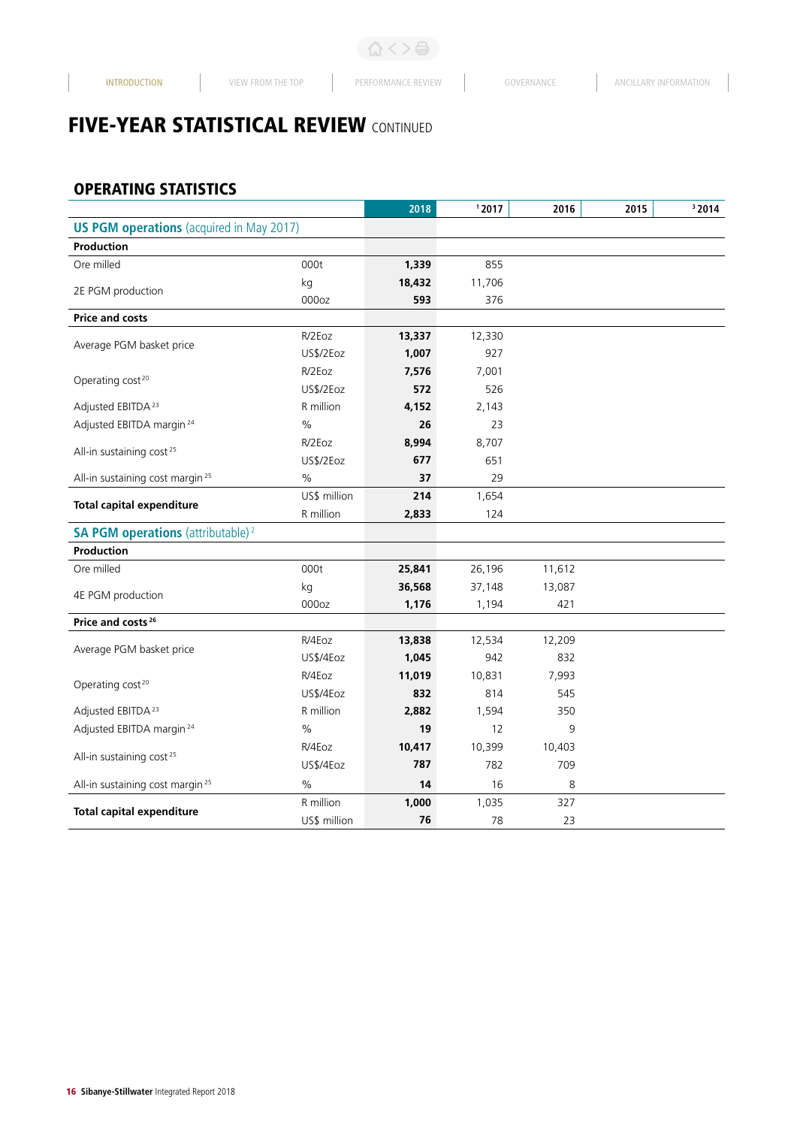# **FIVE-YEAR STATISTICAL REVIEW CONTINUED**

### OPERATING STATISTICS

|                                                      |               | 2018   | 12017  | 2016   | 2015 | <sup>3</sup> 2014 |
|------------------------------------------------------|---------------|--------|--------|--------|------|-------------------|
| <b>US PGM operations</b> (acquired in May 2017)      |               |        |        |        |      |                   |
| Production                                           |               |        |        |        |      |                   |
| Ore milled                                           | 000t          | 1,339  | 855    |        |      |                   |
| 2E PGM production                                    | kg            | 18,432 | 11,706 |        |      |                   |
|                                                      | 000oz         | 593    | 376    |        |      |                   |
| <b>Price and costs</b>                               |               |        |        |        |      |                   |
| Average PGM basket price                             | R/2Eoz        | 13,337 | 12,330 |        |      |                   |
|                                                      | US\$/2Eoz     | 1,007  | 927    |        |      |                   |
|                                                      | R/2Eoz        | 7,576  | 7,001  |        |      |                   |
| Operating cost <sup>20</sup>                         | US\$/2Eoz     | 572    | 526    |        |      |                   |
| Adjusted EBITDA <sup>23</sup>                        | R million     | 4,152  | 2,143  |        |      |                   |
| Adjusted EBITDA margin <sup>24</sup>                 | $\%$          | 26     | 23     |        |      |                   |
|                                                      | R/2Eoz        | 8,994  | 8,707  |        |      |                   |
| All-in sustaining cost <sup>25</sup>                 | US\$/2Eoz     | 677    | 651    |        |      |                   |
| All-in sustaining cost margin <sup>25</sup>          | $\%$          | 37     | 29     |        |      |                   |
|                                                      | US\$ million  | 214    | 1,654  |        |      |                   |
| <b>Total capital expenditure</b>                     | R million     | 2,833  | 124    |        |      |                   |
| <b>SA PGM operations</b> (attributable) <sup>2</sup> |               |        |        |        |      |                   |
| Production                                           |               |        |        |        |      |                   |
| Ore milled                                           | 000t          | 25,841 | 26,196 | 11,612 |      |                   |
|                                                      | kg            | 36,568 | 37,148 | 13,087 |      |                   |
| 4E PGM production                                    | 000oz         | 1,176  | 1,194  | 421    |      |                   |
| Price and costs <sup>26</sup>                        |               |        |        |        |      |                   |
| Average PGM basket price                             | R/4Eoz        | 13,838 | 12,534 | 12,209 |      |                   |
|                                                      | US\$/4Eoz     | 1,045  | 942    | 832    |      |                   |
| Operating cost <sup>20</sup>                         | R/4Eoz        | 11,019 | 10,831 | 7,993  |      |                   |
|                                                      | US\$/4Eoz     | 832    | 814    | 545    |      |                   |
| Adjusted EBITDA <sup>23</sup>                        | R million     | 2,882  | 1,594  | 350    |      |                   |
| Adjusted EBITDA margin <sup>24</sup>                 | $\%$          | 19     | 12     | 9      |      |                   |
|                                                      | R/4Eoz        | 10,417 | 10,399 | 10,403 |      |                   |
| All-in sustaining cost <sup>25</sup>                 | US\$/4Eoz     | 787    | 782    | 709    |      |                   |
| All-in sustaining cost margin <sup>25</sup>          | $\frac{0}{0}$ | 14     | 16     | 8      |      |                   |
|                                                      | R million     | 1,000  | 1,035  | 327    |      |                   |
| <b>Total capital expenditure</b>                     | US\$ million  | 76     | 78     | 23     |      |                   |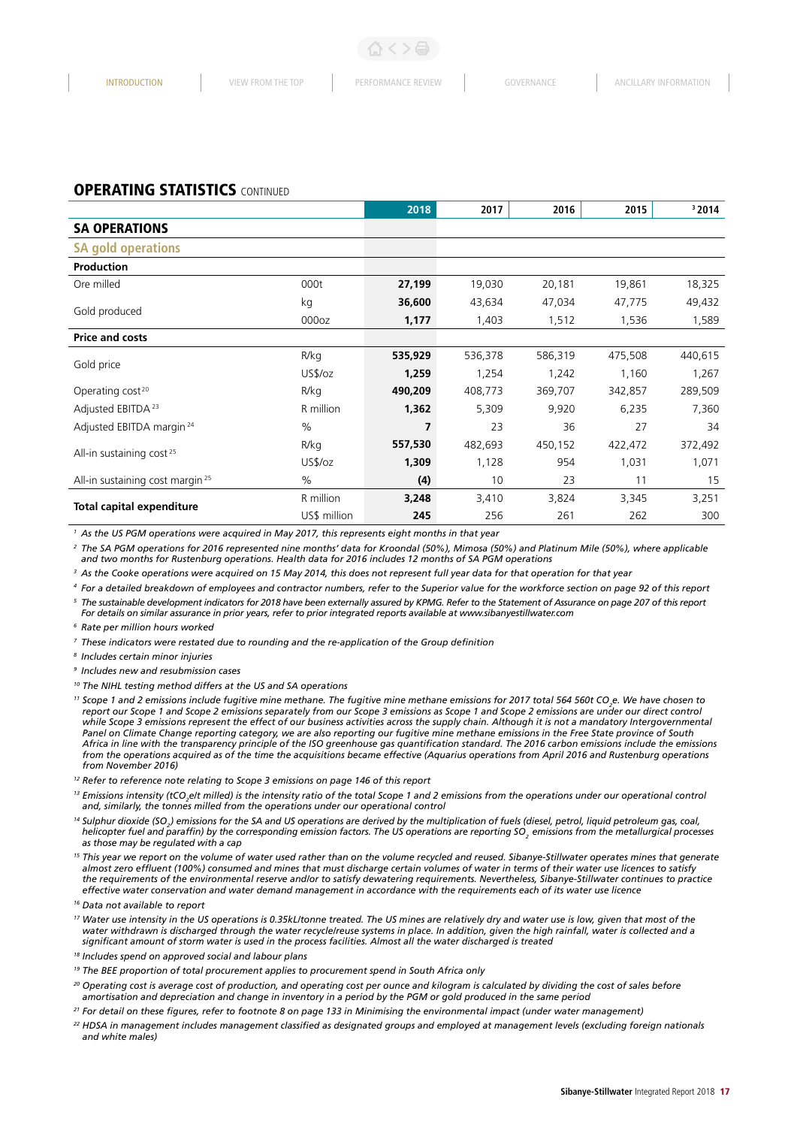#### **OPERATING STATISTICS CONTINUED**

|                                             |                   | 2018    | 2017    | 2016    | 2015    | 32014   |
|---------------------------------------------|-------------------|---------|---------|---------|---------|---------|
| <b>SA OPERATIONS</b>                        |                   |         |         |         |         |         |
| <b>SA gold operations</b>                   |                   |         |         |         |         |         |
| <b>Production</b>                           |                   |         |         |         |         |         |
| Ore milled                                  | 000t              | 27,199  | 19,030  | 20,181  | 19,861  | 18,325  |
|                                             | kg                | 36,600  | 43,634  | 47,034  | 47,775  | 49,432  |
| Gold produced                               | 000 <sub>oz</sub> | 1,177   | 1,403   | 1,512   | 1,536   | 1,589   |
| <b>Price and costs</b>                      |                   |         |         |         |         |         |
| Gold price                                  | R/kg              | 535,929 | 536,378 | 586,319 | 475,508 | 440,615 |
|                                             | US\$/oz           | 1,259   | 1,254   | 1,242   | 1,160   | 1,267   |
| Operating cost <sup>20</sup>                | R/kg              | 490,209 | 408,773 | 369,707 | 342,857 | 289,509 |
| Adjusted EBITDA <sup>23</sup>               | R million         | 1,362   | 5,309   | 9,920   | 6,235   | 7,360   |
| Adjusted EBITDA margin <sup>24</sup>        | $\frac{0}{0}$     | 7       | 23      | 36      | 27      | 34      |
|                                             | R/kg              | 557,530 | 482,693 | 450,152 | 422,472 | 372,492 |
| All-in sustaining cost <sup>25</sup>        | US\$/oz           | 1,309   | 1,128   | 954     | 1,031   | 1,071   |
| All-in sustaining cost margin <sup>25</sup> | $\%$              | (4)     | 10      | 23      | 11      | 15      |
|                                             | R million         | 3,248   | 3,410   | 3,824   | 3,345   | 3,251   |
| <b>Total capital expenditure</b>            | US\$ million      | 245     | 256     | 261     | 262     | 300     |

*<sup>1</sup> As the US PGM operations were acquired in May 2017, this represents eight months in that year*

*2 The SA PGM operations for 2016 represented nine months' data for Kroondal (50%), Mimosa (50%) and Platinum Mile (50%), where applicable and two months for Rustenburg operations. Health data for 2016 includes 12 months of SA PGM operations*

*<sup>3</sup> As the Cooke operations were acquired on 15 May 2014, this does not represent full year data for that operation for that year*

*4 For a detailed breakdown of employees and contractor numbers, refer to the Superior value for the workforce section on page 92 of this report*

*5 The sustainable development indicators for 2018 have been externally assured by KPMG. Refer to the Statement of Assurance on page 207 of this report* 

*For details on similar assurance in prior years, refer to prior integrated reports available at www.sibanyestillwater.com*

*<sup>6</sup> Rate per million hours worked* 

*7 These indicators were restated due to rounding and the re-application of the Group definition* 

*8 Includes certain minor injuries*

*<sup>9</sup> Includes new and resubmission cases*

- *10 The NIHL testing method differs at the US and SA operations*
- *<sup>11</sup> Scope 1 and 2 emissions include fugitive mine methane. The fugitive mine methane emissions for 2017 total 564 560t CO2 e. We have chosen to report our Scope 1 and Scope 2 emissions separately from our Scope 3 emissions as Scope 1 and Scope 2 emissions are under our direct control*  while Scope 3 emissions represent the effect of our business activities across the supply chain. Although it is not a mandatory Intergovernmental *Panel on Climate Change reporting category, we are also reporting our fugitive mine methane emissions in the Free State province of South Africa in line with the transparency principle of the ISO greenhouse gas quantification standard. The 2016 carbon emissions include the emissions*  from the operations acquired as of the time the acquisitions became effective (Aquarius operations from April 2016 and Rustenburg operations *from November 2016)*

*12 Refer to reference note relating to Scope 3 emissions on page 146 of this report*

<sup>13</sup> *Emissions intensity (tCO<sub>2</sub>e/t milled) is the intensity ratio of the total Scope 1 and 2 emissions from the operations under our operational control and, similarly, the tonnes milled from the operations under our operational control*

- <sup>14</sup> Sulphur dioxide (SO<sub>2</sub>) emissions for the SA and US operations are derived by the multiplication of fuels (diesel, petrol, liquid petroleum gas, coal, *helicopter fuel and paraffin) by the corresponding emission factors. The US operations are reporting SO<sub>2</sub> emissions from the metallurgical processes as those may be regulated with a cap*
- <sup>15</sup> This year we report on the volume of water used rather than on the volume recycled and reused. Sibanye-Stillwater operates mines that generate *almost zero effluent (100%) consumed and mines that must discharge certain volumes of water in terms of their water use licences to satisfy the requirements of the environmental reserve and/or to satisfy dewatering requirements. Nevertheless, Sibanye-Stillwater continues to practice effective water conservation and water demand management in accordance with the requirements each of its water use licence*

*16 Data not available to report* 

- <sup>17</sup> Water use intensity in the US operations is 0.35kL/tonne treated. The US mines are relatively dry and water use is low, given that most of the water withdrawn is discharged through the water recycle/reuse systems in place. In addition, given the high rainfall, water is collected and a *significant amount of storm water is used in the process facilities. Almost all the water discharged is treated*
- *18 Includes spend on approved social and labour plans*
- *19 The BEE proportion of total procurement applies to procurement spend in South Africa only*
- *<sup>20</sup> Operating cost is average cost of production, and operating cost per ounce and kilogram is calculated by dividing the cost of sales before amortisation and depreciation and change in inventory in a period by the PGM or gold produced in the same period*
- *21 For detail on these figures, refer to footnote 8 on page 133 in Minimising the environmental impact (under water management)*
- *<sup>22</sup> HDSA in management includes management classified as designated groups and employed at management levels (excluding foreign nationals and white males)*